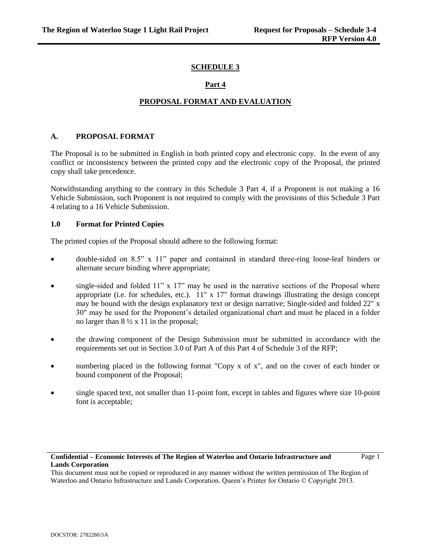## **SCHEDULE 3**

# **Part 4**

# **PROPOSAL FORMAT AND EVALUATION**

# **A. PROPOSAL FORMAT**

The Proposal is to be submitted in English in both printed copy and electronic copy. In the event of any conflict or inconsistency between the printed copy and the electronic copy of the Proposal, the printed copy shall take precedence.

Notwithstanding anything to the contrary in this Schedule 3 Part 4, if a Proponent is not making a 16 Vehicle Submission, such Proponent is not required to comply with the provisions of this Schedule 3 Part 4 relating to a 16 Vehicle Submission.

## **1.0 Format for Printed Copies**

The printed copies of the Proposal should adhere to the following format:

- double-sided on 8.5" x 11" paper and contained in standard three-ring loose-leaf binders or alternate secure binding where appropriate;
- single-sided and folded 11" x 17" may be used in the narrative sections of the Proposal where appropriate (i.e. for schedules, etc.).  $11'' \times 17''$  format drawings illustrating the design concept may be bound with the design explanatory text or design narrative; Single-sided and folded 22" x 30" may be used for the Proponent's detailed organizational chart and must be placed in a folder no larger than  $8\frac{1}{2} \times 11$  in the proposal;
- the drawing component of the Design Submission must be submitted in accordance with the requirements set out in Section 3.0 of Part A of this Part 4 of Schedule 3 of the RFP;
- numbering placed in the following format "Copy x of x", and on the cover of each binder or bound component of the Proposal;
- single spaced text, not smaller than 11-point font, except in tables and figures where size 10-point font is acceptable;

## **Confidential – Economic Interests of The Region of Waterloo and Ontario Infrastructure and Lands Corporation**

Page 1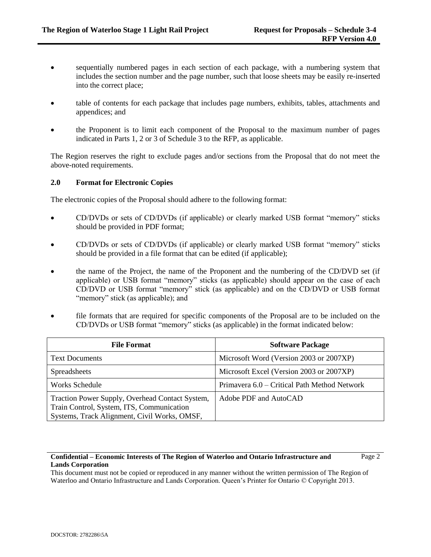Page 2

- sequentially numbered pages in each section of each package, with a numbering system that includes the section number and the page number, such that loose sheets may be easily re-inserted into the correct place;
- table of contents for each package that includes page numbers, exhibits, tables, attachments and appendices; and
- the Proponent is to limit each component of the Proposal to the maximum number of pages indicated in Parts 1, 2 or 3 of Schedule 3 to the RFP, as applicable.

The Region reserves the right to exclude pages and/or sections from the Proposal that do not meet the above-noted requirements.

## **2.0 Format for Electronic Copies**

The electronic copies of the Proposal should adhere to the following format:

- CD/DVDs or sets of CD/DVDs (if applicable) or clearly marked USB format "memory" sticks should be provided in PDF format;
- CD/DVDs or sets of CD/DVDs (if applicable) or clearly marked USB format "memory" sticks should be provided in a file format that can be edited (if applicable);
- the name of the Project, the name of the Proponent and the numbering of the CD/DVD set (if applicable) or USB format "memory" sticks (as applicable) should appear on the case of each CD/DVD or USB format "memory" stick (as applicable) and on the CD/DVD or USB format "memory" stick (as applicable); and
- file formats that are required for specific components of the Proposal are to be included on the CD/DVDs or USB format "memory" sticks (as applicable) in the format indicated below:

| <b>File Format</b>                                                                                                                           | <b>Software Package</b>                      |  |
|----------------------------------------------------------------------------------------------------------------------------------------------|----------------------------------------------|--|
| <b>Text Documents</b>                                                                                                                        | Microsoft Word (Version 2003 or 2007XP)      |  |
| Spreadsheets                                                                                                                                 | Microsoft Excel (Version 2003 or 2007XP)     |  |
| <b>Works Schedule</b>                                                                                                                        | Primavera 6.0 – Critical Path Method Network |  |
| Traction Power Supply, Overhead Contact System,<br>Train Control, System, ITS, Communication<br>Systems, Track Alignment, Civil Works, OMSF, | Adobe PDF and AutoCAD                        |  |

## **Confidential – Economic Interests of The Region of Waterloo and Ontario Infrastructure and Lands Corporation**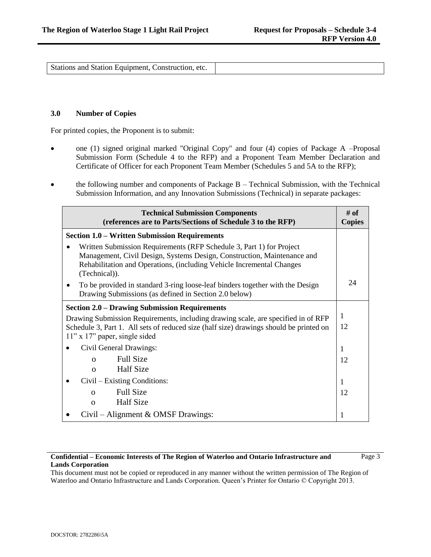Stations and Station Equipment, Construction, etc.

### **3.0 Number of Copies**

For printed copies, the Proponent is to submit:

- one (1) signed original marked "Original Copy" and four (4) copies of Package A –Proposal Submission Form (Schedule 4 to the RFP) and a Proponent Team Member Declaration and Certificate of Officer for each Proponent Team Member (Schedules 5 and 5A to the RFP);
- the following number and components of Package B Technical Submission, with the Technical Submission Information, and any Innovation Submissions (Technical) in separate packages:

| <b>Technical Submission Components</b><br>(references are to Parts/Sections of Schedule 3 to the RFP)                                                                                                                                     |    |
|-------------------------------------------------------------------------------------------------------------------------------------------------------------------------------------------------------------------------------------------|----|
| <b>Section 1.0 – Written Submission Requirements</b>                                                                                                                                                                                      |    |
| Written Submission Requirements (RFP Schedule 3, Part 1) for Project<br>Management, Civil Design, Systems Design, Construction, Maintenance and<br>Rehabilitation and Operations, (including Vehicle Incremental Changes<br>(Technical)). |    |
| To be provided in standard 3-ring loose-leaf binders together with the Design<br>Drawing Submissions (as defined in Section 2.0 below)                                                                                                    | 24 |
| <b>Section 2.0 – Drawing Submission Requirements</b>                                                                                                                                                                                      |    |
| Drawing Submission Requirements, including drawing scale, are specified in of RFP                                                                                                                                                         |    |
| Schedule 3, Part 1. All sets of reduced size (half size) drawings should be printed on<br>$11"$ x 17" paper, single sided                                                                                                                 |    |
| Civil General Drawings:                                                                                                                                                                                                                   | 1  |
| <b>Full Size</b><br>$\Omega$                                                                                                                                                                                                              | 12 |
| <b>Half Size</b><br>$\Omega$                                                                                                                                                                                                              |    |
| Civil – Existing Conditions:                                                                                                                                                                                                              | 1  |
| <b>Full Size</b><br>$\Omega$                                                                                                                                                                                                              | 12 |
| <b>Half Size</b><br>$\Omega$                                                                                                                                                                                                              |    |
| Civil - Alignment & OMSF Drawings:                                                                                                                                                                                                        | 1  |

## **Confidential – Economic Interests of The Region of Waterloo and Ontario Infrastructure and Lands Corporation**

Page 3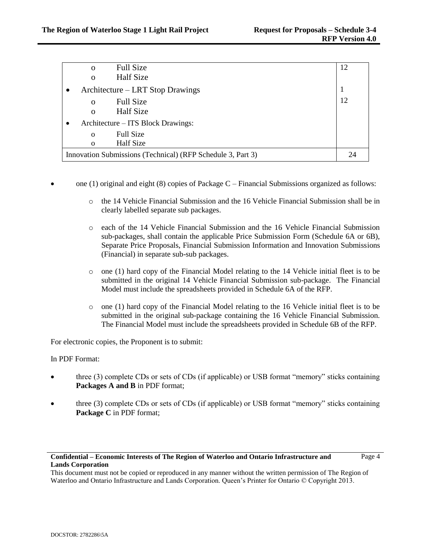| <b>Full Size</b><br>$\Omega$                                | 12 |
|-------------------------------------------------------------|----|
| <b>Half</b> Size<br>$\mathbf 0$                             |    |
| Architecture – LRT Stop Drawings                            |    |
| <b>Full Size</b><br>$\mathbf{O}$                            | 12 |
| <b>Half Size</b><br>$\Omega$                                |    |
| Architecture – ITS Block Drawings:                          |    |
| <b>Full Size</b><br>$\mathbf{O}$                            |    |
| <b>Half</b> Size<br>$\Omega$                                |    |
| Innovation Submissions (Technical) (RFP Schedule 3, Part 3) |    |

- one (1) original and eight (8) copies of Package C Financial Submissions organized as follows:
	- o the 14 Vehicle Financial Submission and the 16 Vehicle Financial Submission shall be in clearly labelled separate sub packages.
	- o each of the 14 Vehicle Financial Submission and the 16 Vehicle Financial Submission sub-packages, shall contain the applicable Price Submission Form (Schedule 6A or 6B), Separate Price Proposals, Financial Submission Information and Innovation Submissions (Financial) in separate sub-sub packages.
	- $\circ$  one (1) hard copy of the Financial Model relating to the 14 Vehicle initial fleet is to be submitted in the original 14 Vehicle Financial Submission sub-package. The Financial Model must include the spreadsheets provided in Schedule 6A of the RFP.
	- $\circ$  one (1) hard copy of the Financial Model relating to the 16 Vehicle initial fleet is to be submitted in the original sub-package containing the 16 Vehicle Financial Submission. The Financial Model must include the spreadsheets provided in Schedule 6B of the RFP.

For electronic copies, the Proponent is to submit:

In PDF Format:

- three (3) complete CDs or sets of CDs (if applicable) or USB format "memory" sticks containing **Packages A and B** in PDF format;
- three (3) complete CDs or sets of CDs (if applicable) or USB format "memory" sticks containing **Package C** in PDF format;

# **Confidential – Economic Interests of The Region of Waterloo and Ontario Infrastructure and Lands Corporation**

Page 4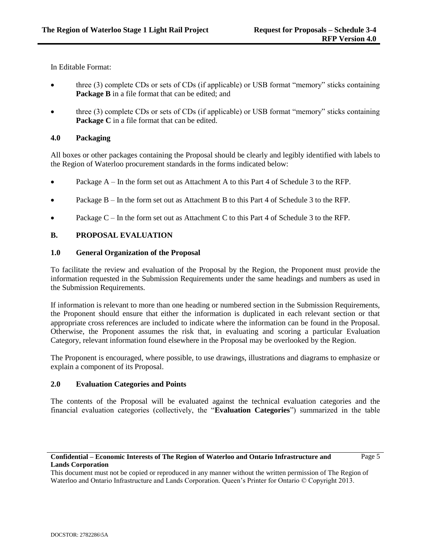In Editable Format:

- three (3) complete CDs or sets of CDs (if applicable) or USB format "memory" sticks containing **Package B** in a file format that can be edited; and
- three (3) complete CDs or sets of CDs (if applicable) or USB format "memory" sticks containing **Package C** in a file format that can be edited.

## **4.0 Packaging**

All boxes or other packages containing the Proposal should be clearly and legibly identified with labels to the Region of Waterloo procurement standards in the forms indicated below:

- Package A In the form set out as Attachment A to this Part 4 of Schedule 3 to the RFP.
- Package B In the form set out as Attachment B to this Part 4 of Schedule 3 to the RFP.
- Package C In the form set out as Attachment C to this Part 4 of Schedule 3 to the RFP.

## **B. PROPOSAL EVALUATION**

#### **1.0 General Organization of the Proposal**

To facilitate the review and evaluation of the Proposal by the Region, the Proponent must provide the information requested in the Submission Requirements under the same headings and numbers as used in the Submission Requirements.

If information is relevant to more than one heading or numbered section in the Submission Requirements, the Proponent should ensure that either the information is duplicated in each relevant section or that appropriate cross references are included to indicate where the information can be found in the Proposal. Otherwise, the Proponent assumes the risk that, in evaluating and scoring a particular Evaluation Category, relevant information found elsewhere in the Proposal may be overlooked by the Region.

The Proponent is encouraged, where possible, to use drawings, illustrations and diagrams to emphasize or explain a component of its Proposal.

#### **2.0 Evaluation Categories and Points**

The contents of the Proposal will be evaluated against the technical evaluation categories and the financial evaluation categories (collectively, the "**Evaluation Categories**") summarized in the table

#### **Confidential – Economic Interests of The Region of Waterloo and Ontario Infrastructure and Lands Corporation**

Page 5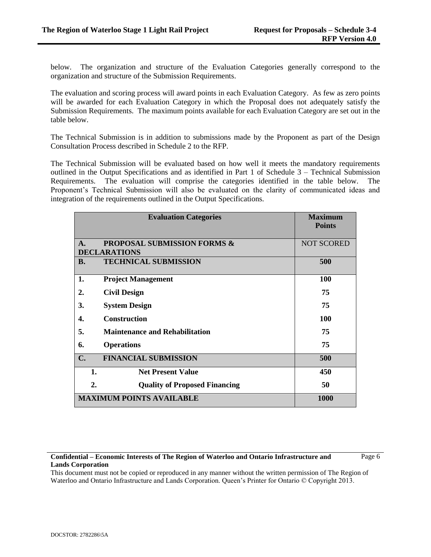below. The organization and structure of the Evaluation Categories generally correspond to the organization and structure of the Submission Requirements.

The evaluation and scoring process will award points in each Evaluation Category. As few as zero points will be awarded for each Evaluation Category in which the Proposal does not adequately satisfy the Submission Requirements. The maximum points available for each Evaluation Category are set out in the table below.

The Technical Submission is in addition to submissions made by the Proponent as part of the Design Consultation Process described in Schedule 2 to the RFP.

The Technical Submission will be evaluated based on how well it meets the mandatory requirements outlined in the Output Specifications and as identified in Part 1 of Schedule 3 – Technical Submission Requirements. The evaluation will comprise the categories identified in the table below. The Proponent's Technical Submission will also be evaluated on the clarity of communicated ideas and integration of the requirements outlined in the Output Specifications.

| <b>Evaluation Categories</b>                                    | <b>Maximum</b><br><b>Points</b> |
|-----------------------------------------------------------------|---------------------------------|
| <b>PROPOSAL SUBMISSION FORMS &amp;</b><br>$\mathbf{A}$ .        | <b>NOT SCORED</b>               |
| <b>DECLARATIONS</b><br><b>TECHNICAL SUBMISSION</b><br><b>B.</b> | 500                             |
| 1.<br><b>Project Management</b>                                 | 100                             |
| <b>Civil Design</b><br>2.                                       | 75                              |
| 3.<br><b>System Design</b>                                      | 75                              |
| <b>Construction</b><br>4.                                       | <b>100</b>                      |
| <b>Maintenance and Rehabilitation</b><br>5.                     | 75                              |
| 6.<br><b>Operations</b>                                         | 75                              |
| $\mathbf{C}$ .<br><b>FINANCIAL SUBMISSION</b>                   | 500                             |
| 1.<br><b>Net Present Value</b>                                  | 450                             |
| 2.<br><b>Quality of Proposed Financing</b>                      | 50                              |
| <b>MAXIMUM POINTS AVAILABLE</b>                                 | 1000                            |

### **Confidential – Economic Interests of The Region of Waterloo and Ontario Infrastructure and Lands Corporation**

Page 6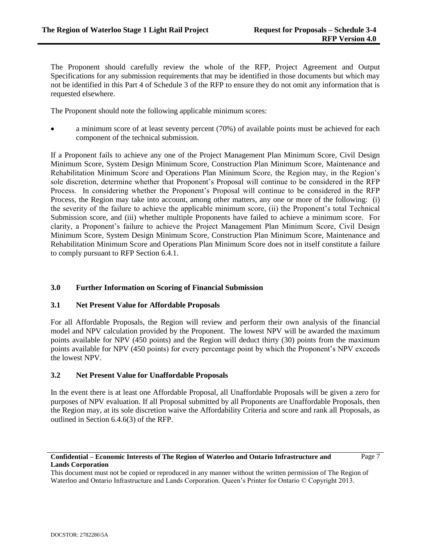The Proponent should carefully review the whole of the RFP, Project Agreement and Output Specifications for any submission requirements that may be identified in those documents but which may not be identified in this Part 4 of Schedule 3 of the RFP to ensure they do not omit any information that is requested elsewhere.

The Proponent should note the following applicable minimum scores:

 a minimum score of at least seventy percent (70%) of available points must be achieved for each component of the technical submission.

If a Proponent fails to achieve any one of the Project Management Plan Minimum Score, Civil Design Minimum Score, System Design Minimum Score, Construction Plan Minimum Score, Maintenance and Rehabilitation Minimum Score and Operations Plan Minimum Score, the Region may, in the Region's sole discretion, determine whether that Proponent's Proposal will continue to be considered in the RFP Process. In considering whether the Proponent's Proposal will continue to be considered in the RFP Process, the Region may take into account, among other matters, any one or more of the following: (i) the severity of the failure to achieve the applicable minimum score, (ii) the Proponent's total Technical Submission score, and (iii) whether multiple Proponents have failed to achieve a minimum score. For clarity, a Proponent's failure to achieve the Project Management Plan Minimum Score, Civil Design Minimum Score, System Design Minimum Score, Construction Plan Minimum Score, Maintenance and Rehabilitation Minimum Score and Operations Plan Minimum Score does not in itself constitute a failure to comply pursuant to RFP Section 6.4.1.

# **3.0 Further Information on Scoring of Financial Submission**

# **3.1 Net Present Value for Affordable Proposals**

For all Affordable Proposals, the Region will review and perform their own analysis of the financial model and NPV calculation provided by the Proponent. The lowest NPV will be awarded the maximum points available for NPV (450 points) and the Region will deduct thirty (30) points from the maximum points available for NPV (450 points) for every percentage point by which the Proponent's NPV exceeds the lowest NPV.

# **3.2 Net Present Value for Unaffordable Proposals**

In the event there is at least one Affordable Proposal, all Unaffordable Proposals will be given a zero for purposes of NPV evaluation. If all Proposal submitted by all Proponents are Unaffordable Proposals, then the Region may, at its sole discretion waive the Affordability Criteria and score and rank all Proposals, as outlined in Section 6.4.6(3) of the RFP.

## **Confidential – Economic Interests of The Region of Waterloo and Ontario Infrastructure and Lands Corporation**

Page 7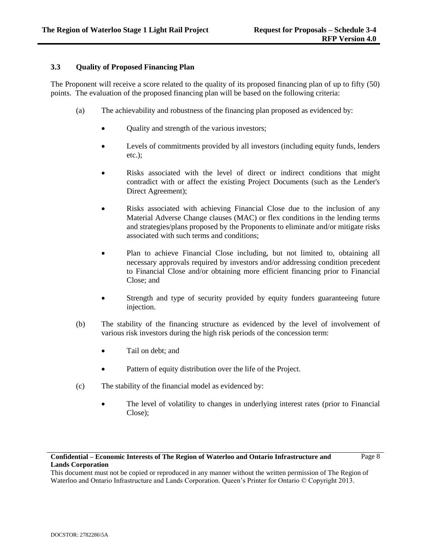# **3.3 Quality of Proposed Financing Plan**

The Proponent will receive a score related to the quality of its proposed financing plan of up to fifty (50) points. The evaluation of the proposed financing plan will be based on the following criteria:

- (a) The achievability and robustness of the financing plan proposed as evidenced by:
	- Quality and strength of the various investors;
	- Levels of commitments provided by all investors (including equity funds, lenders etc.);
	- Risks associated with the level of direct or indirect conditions that might contradict with or affect the existing Project Documents (such as the Lender's Direct Agreement);
	- Risks associated with achieving Financial Close due to the inclusion of any Material Adverse Change clauses (MAC) or flex conditions in the lending terms and strategies/plans proposed by the Proponents to eliminate and/or mitigate risks associated with such terms and conditions;
	- Plan to achieve Financial Close including, but not limited to, obtaining all necessary approvals required by investors and/or addressing condition precedent to Financial Close and/or obtaining more efficient financing prior to Financial Close; and
	- Strength and type of security provided by equity funders guaranteeing future injection.
- (b) The stability of the financing structure as evidenced by the level of involvement of various risk investors during the high risk periods of the concession term:
	- Tail on debt; and
	- Pattern of equity distribution over the life of the Project.
- (c) The stability of the financial model as evidenced by:
	- The level of volatility to changes in underlying interest rates (prior to Financial Close);

#### **Confidential – Economic Interests of The Region of Waterloo and Ontario Infrastructure and Lands Corporation** Page 8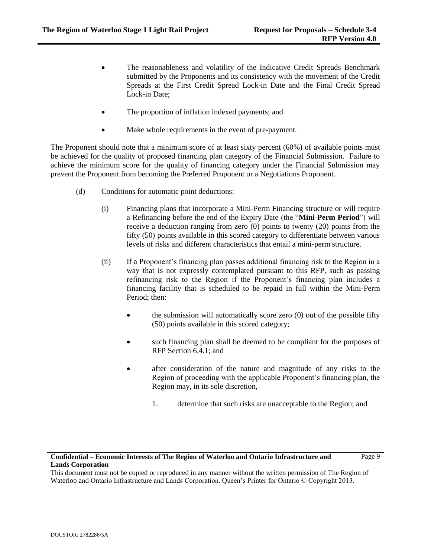- The reasonableness and volatility of the Indicative Credit Spreads Benchmark submitted by the Proponents and its consistency with the movement of the Credit Spreads at the First Credit Spread Lock-in Date and the Final Credit Spread Lock-in Date;
- The proportion of inflation indexed payments; and
- Make whole requirements in the event of pre-payment.

The Proponent should note that a minimum score of at least sixty percent (60%) of available points must be achieved for the quality of proposed financing plan category of the Financial Submission. Failure to achieve the minimum score for the quality of financing category under the Financial Submission may prevent the Proponent from becoming the Preferred Proponent or a Negotiations Proponent.

- (d) Conditions for automatic point deductions:
	- (i) Financing plans that incorporate a Mini-Perm Financing structure or will require a Refinancing before the end of the Expiry Date (the "**Mini-Perm Period**") will receive a deduction ranging from zero (0) points to twenty (20) points from the fifty (50) points available in this scored category to differentiate between various levels of risks and different characteristics that entail a mini-perm structure.
	- (ii) If a Proponent's financing plan passes additional financing risk to the Region in a way that is not expressly contemplated pursuant to this RFP, such as passing refinancing risk to the Region if the Proponent's financing plan includes a financing facility that is scheduled to be repaid in full within the Mini-Perm Period; then:
		- $\bullet$  the submission will automatically score zero (0) out of the possible fifty (50) points available in this scored category;
		- such financing plan shall be deemed to be compliant for the purposes of RFP Section 6.4.1; and
		- after consideration of the nature and magnitude of any risks to the Region of proceeding with the applicable Proponent's financing plan, the Region may, in its sole discretion,
			- 1. determine that such risks are unacceptable to the Region; and

Page 9

# **Confidential – Economic Interests of The Region of Waterloo and Ontario Infrastructure and Lands Corporation**